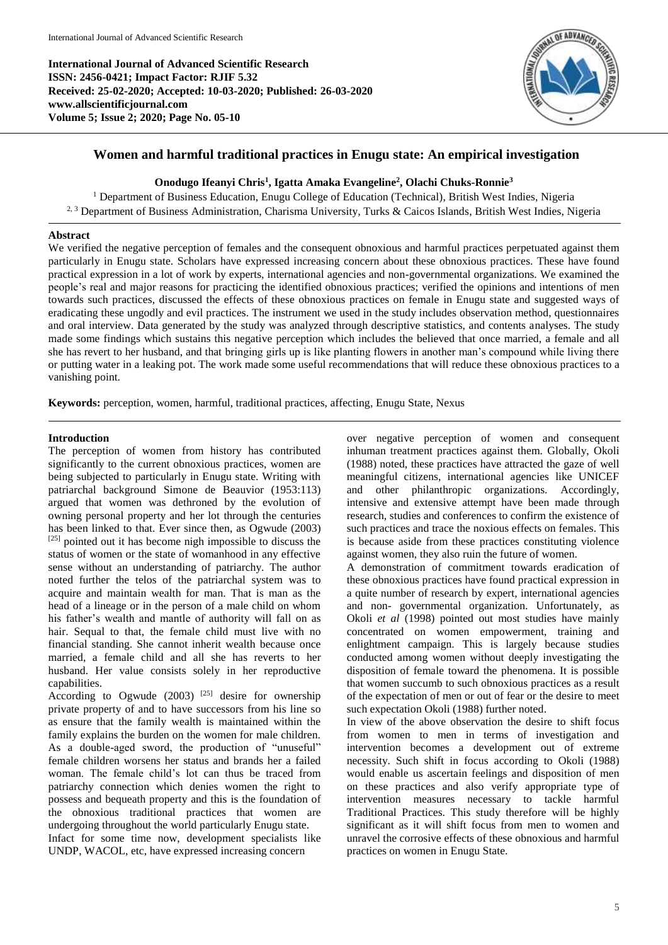**International Journal of Advanced Scientific Research ISSN: 2456-0421; Impact Factor: RJIF 5.32 Received: 25-02-2020; Accepted: 10-03-2020; Published: 26-03-2020 www.allscientificjournal.com Volume 5; Issue 2; 2020; Page No. 05-10**



# **Women and harmful traditional practices in Enugu state: An empirical investigation**

# **Onodugo Ifeanyi Chris<sup>1</sup> , Igatta Amaka Evangeline<sup>2</sup> , Olachi Chuks-Ronnie<sup>3</sup>**

<sup>1</sup> Department of Business Education, Enugu College of Education (Technical), British West Indies, Nigeria 2, 3 Department of Business Administration, Charisma University, Turks & Caicos Islands, British West Indies, Nigeria

#### **Abstract**

We verified the negative perception of females and the consequent obnoxious and harmful practices perpetuated against them particularly in Enugu state. Scholars have expressed increasing concern about these obnoxious practices. These have found practical expression in a lot of work by experts, international agencies and non-governmental organizations. We examined the people's real and major reasons for practicing the identified obnoxious practices; verified the opinions and intentions of men towards such practices, discussed the effects of these obnoxious practices on female in Enugu state and suggested ways of eradicating these ungodly and evil practices. The instrument we used in the study includes observation method, questionnaires and oral interview. Data generated by the study was analyzed through descriptive statistics, and contents analyses. The study made some findings which sustains this negative perception which includes the believed that once married, a female and all she has revert to her husband, and that bringing girls up is like planting flowers in another man's compound while living there or putting water in a leaking pot. The work made some useful recommendations that will reduce these obnoxious practices to a vanishing point.

**Keywords:** perception, women, harmful, traditional practices, affecting, Enugu State, Nexus

## **Introduction**

The perception of women from history has contributed significantly to the current obnoxious practices, women are being subjected to particularly in Enugu state. Writing with patriarchal background Simone de Beauvior (1953:113) argued that women was dethroned by the evolution of owning personal property and her lot through the centuries has been linked to that. Ever since then, as Ogwude (2003)  $[25]$  pointed out it has become nigh impossible to discuss the status of women or the state of womanhood in any effective sense without an understanding of patriarchy. The author noted further the telos of the patriarchal system was to acquire and maintain wealth for man. That is man as the head of a lineage or in the person of a male child on whom his father's wealth and mantle of authority will fall on as hair. Sequal to that, the female child must live with no financial standing. She cannot inherit wealth because once married, a female child and all she has reverts to her husband. Her value consists solely in her reproductive capabilities.

According to Ogwude  $(2003)$  <sup>[25]</sup> desire for ownership private property of and to have successors from his line so as ensure that the family wealth is maintained within the family explains the burden on the women for male children. As a double-aged sword, the production of "unuseful" female children worsens her status and brands her a failed woman. The female child's lot can thus be traced from patriarchy connection which denies women the right to possess and bequeath property and this is the foundation of the obnoxious traditional practices that women are undergoing throughout the world particularly Enugu state. Infact for some time now, development specialists like UNDP, WACOL, etc, have expressed increasing concern

over negative perception of women and consequent inhuman treatment practices against them. Globally, Okoli (1988) noted, these practices have attracted the gaze of well meaningful citizens, international agencies like UNICEF and other philanthropic organizations. Accordingly, intensive and extensive attempt have been made through research, studies and conferences to confirm the existence of such practices and trace the noxious effects on females. This is because aside from these practices constituting violence against women, they also ruin the future of women.

A demonstration of commitment towards eradication of these obnoxious practices have found practical expression in a quite number of research by expert, international agencies and non- governmental organization. Unfortunately, as Okoli *et al* (1998) pointed out most studies have mainly concentrated on women empowerment, training and enlightment campaign. This is largely because studies conducted among women without deeply investigating the disposition of female toward the phenomena. It is possible that women succumb to such obnoxious practices as a result of the expectation of men or out of fear or the desire to meet such expectation Okoli (1988) further noted.

In view of the above observation the desire to shift focus from women to men in terms of investigation and intervention becomes a development out of extreme necessity. Such shift in focus according to Okoli (1988) would enable us ascertain feelings and disposition of men on these practices and also verify appropriate type of intervention measures necessary to tackle harmful Traditional Practices. This study therefore will be highly significant as it will shift focus from men to women and unravel the corrosive effects of these obnoxious and harmful practices on women in Enugu State.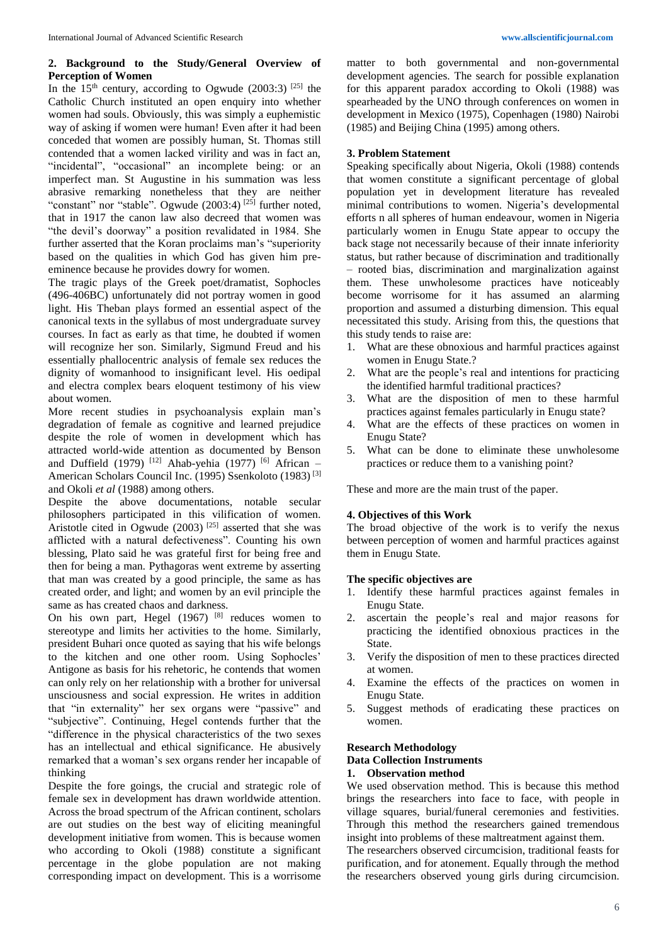# **2. Background to the Study/General Overview of Perception of Women**

In the  $15<sup>th</sup>$  century, according to Ogwude (2003:3) <sup>[25]</sup> the Catholic Church instituted an open enquiry into whether women had souls. Obviously, this was simply a euphemistic way of asking if women were human! Even after it had been conceded that women are possibly human, St. Thomas still contended that a women lacked virility and was in fact an, "incidental", "occasional" an incomplete being: or an imperfect man. St Augustine in his summation was less abrasive remarking nonetheless that they are neither "constant" nor "stable". Ogwude (2003:4)<sup>[25]</sup> further noted, that in 1917 the canon law also decreed that women was "the devil's doorway" a position revalidated in 1984. She further asserted that the Koran proclaims man's "superiority based on the qualities in which God has given him preeminence because he provides dowry for women.

The tragic plays of the Greek poet/dramatist, Sophocles (496-406BC) unfortunately did not portray women in good light. His Theban plays formed an essential aspect of the canonical texts in the syllabus of most undergraduate survey courses. In fact as early as that time, he doubted if women will recognize her son. Similarly, Sigmund Freud and his essentially phallocentric analysis of female sex reduces the dignity of womanhood to insignificant level. His oedipal and electra complex bears eloquent testimony of his view about women.

More recent studies in psychoanalysis explain man's degradation of female as cognitive and learned prejudice despite the role of women in development which has attracted world-wide attention as documented by Benson and Duffield (1979)  $^{[12]}$  Ahab-yehia (1977)  $^{[6]}$  African – American Scholars Council Inc. (1995) Ssenkoloto (1983) [3] and Okoli *et al* (1988) among others.

Despite the above documentations, notable secular philosophers participated in this vilification of women. Aristotle cited in Ogwude  $(2003)$ <sup>[25]</sup> asserted that she was afflicted with a natural defectiveness". Counting his own blessing, Plato said he was grateful first for being free and then for being a man. Pythagoras went extreme by asserting that man was created by a good principle, the same as has created order, and light; and women by an evil principle the same as has created chaos and darkness.

On his own part, Hegel  $(1967)$  <sup>[8]</sup> reduces women to stereotype and limits her activities to the home. Similarly, president Buhari once quoted as saying that his wife belongs to the kitchen and one other room. Using Sophocles' Antigone as basis for his rehetoric, he contends that women can only rely on her relationship with a brother for universal unsciousness and social expression. He writes in addition that "in externality" her sex organs were "passive" and "subjective". Continuing, Hegel contends further that the "difference in the physical characteristics of the two sexes has an intellectual and ethical significance. He abusively remarked that a woman's sex organs render her incapable of thinking

Despite the fore goings, the crucial and strategic role of female sex in development has drawn worldwide attention. Across the broad spectrum of the African continent, scholars are out studies on the best way of eliciting meaningful development initiative from women. This is because women who according to Okoli (1988) constitute a significant percentage in the globe population are not making corresponding impact on development. This is a worrisome matter to both governmental and non-governmental development agencies. The search for possible explanation for this apparent paradox according to Okoli (1988) was spearheaded by the UNO through conferences on women in development in Mexico (1975), Copenhagen (1980) Nairobi (1985) and Beijing China (1995) among others.

## **3. Problem Statement**

Speaking specifically about Nigeria, Okoli (1988) contends that women constitute a significant percentage of global population yet in development literature has revealed minimal contributions to women. Nigeria's developmental efforts n all spheres of human endeavour, women in Nigeria particularly women in Enugu State appear to occupy the back stage not necessarily because of their innate inferiority status, but rather because of discrimination and traditionally – rooted bias, discrimination and marginalization against them. These unwholesome practices have noticeably become worrisome for it has assumed an alarming proportion and assumed a disturbing dimension. This equal necessitated this study. Arising from this, the questions that this study tends to raise are:

- 1. What are these obnoxious and harmful practices against women in Enugu State.?
- 2. What are the people's real and intentions for practicing the identified harmful traditional practices?
- 3. What are the disposition of men to these harmful practices against females particularly in Enugu state?
- 4. What are the effects of these practices on women in Enugu State?
- 5. What can be done to eliminate these unwholesome practices or reduce them to a vanishing point?

These and more are the main trust of the paper.

### **4. Objectives of this Work**

The broad objective of the work is to verify the nexus between perception of women and harmful practices against them in Enugu State.

### **The specific objectives are**

- 1. Identify these harmful practices against females in Enugu State.
- 2. ascertain the people's real and major reasons for practicing the identified obnoxious practices in the State.
- 3. Verify the disposition of men to these practices directed at women.
- 4. Examine the effects of the practices on women in Enugu State.
- 5. Suggest methods of eradicating these practices on women.

### **Research Methodology**

# **Data Collection Instruments**

# **1. Observation method**

We used observation method. This is because this method brings the researchers into face to face, with people in village squares, burial/funeral ceremonies and festivities. Through this method the researchers gained tremendous insight into problems of these maltreatment against them.

The researchers observed circumcision, traditional feasts for purification, and for atonement. Equally through the method the researchers observed young girls during circumcision.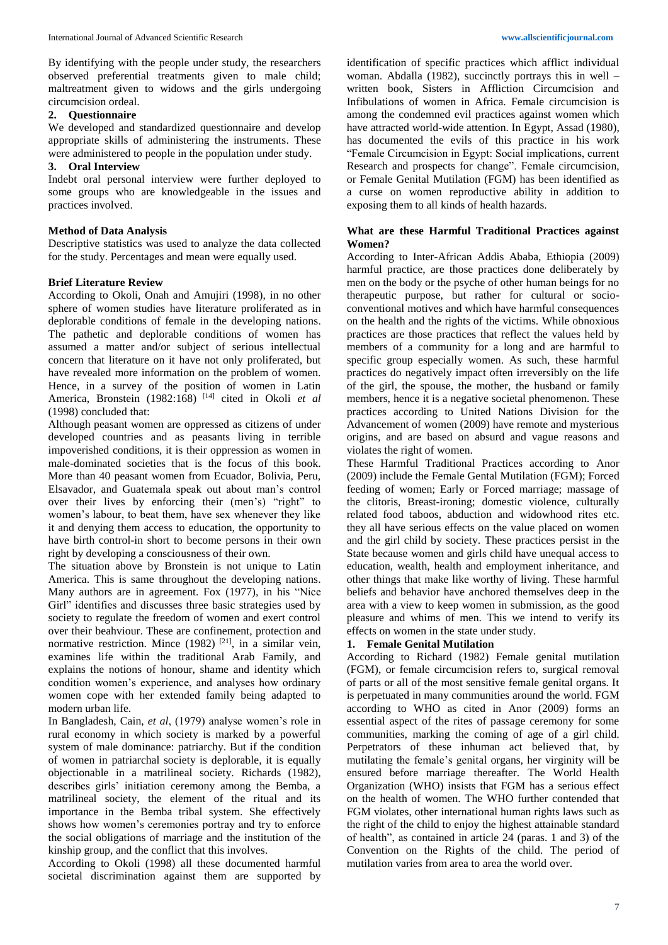By identifying with the people under study, the researchers observed preferential treatments given to male child; maltreatment given to widows and the girls undergoing circumcision ordeal.

### **2. Questionnaire**

We developed and standardized questionnaire and develop appropriate skills of administering the instruments. These were administered to people in the population under study.

## **3. Oral Interview**

Indebt oral personal interview were further deployed to some groups who are knowledgeable in the issues and practices involved.

# **Method of Data Analysis**

Descriptive statistics was used to analyze the data collected for the study. Percentages and mean were equally used.

# **Brief Literature Review**

According to Okoli, Onah and Amujiri (1998), in no other sphere of women studies have literature proliferated as in deplorable conditions of female in the developing nations. The pathetic and deplorable conditions of women has assumed a matter and/or subject of serious intellectual concern that literature on it have not only proliferated, but have revealed more information on the problem of women. Hence, in a survey of the position of women in Latin America, Bronstein (1982:168) [14] cited in Okoli *et al* (1998) concluded that:

Although peasant women are oppressed as citizens of under developed countries and as peasants living in terrible impoverished conditions, it is their oppression as women in male-dominated societies that is the focus of this book. More than 40 peasant women from Ecuador, Bolivia, Peru, Elsavador, and Guatemala speak out about man's control over their lives by enforcing their (men's) "right" to women's labour, to beat them, have sex whenever they like it and denying them access to education, the opportunity to have birth control-in short to become persons in their own right by developing a consciousness of their own.

The situation above by Bronstein is not unique to Latin America. This is same throughout the developing nations. Many authors are in agreement. Fox (1977), in his "Nice Girl" identifies and discusses three basic strategies used by society to regulate the freedom of women and exert control over their beahviour. These are confinement, protection and normative restriction. Mince  $(1982)$  <sup>[21]</sup>, in a similar vein, examines life within the traditional Arab Family, and explains the notions of honour, shame and identity which condition women's experience, and analyses how ordinary women cope with her extended family being adapted to modern urban life.

In Bangladesh, Cain, *et al*, (1979) analyse women's role in rural economy in which society is marked by a powerful system of male dominance: patriarchy. But if the condition of women in patriarchal society is deplorable, it is equally objectionable in a matrilineal society. Richards (1982), describes girls' initiation ceremony among the Bemba, a matrilineal society, the element of the ritual and its importance in the Bemba tribal system. She effectively shows how women's ceremonies portray and try to enforce the social obligations of marriage and the institution of the kinship group, and the conflict that this involves.

According to Okoli (1998) all these documented harmful societal discrimination against them are supported by

identification of specific practices which afflict individual woman. Abdalla (1982), succinctly portrays this in well – written book, Sisters in Affliction Circumcision and Infibulations of women in Africa. Female circumcision is among the condemned evil practices against women which have attracted world-wide attention. In Egypt, Assad (1980), has documented the evils of this practice in his work "Female Circumcision in Egypt: Social implications, current Research and prospects for change". Female circumcision, or Female Genital Mutilation (FGM) has been identified as a curse on women reproductive ability in addition to exposing them to all kinds of health hazards.

## **What are these Harmful Traditional Practices against Women?**

According to Inter-African Addis Ababa, Ethiopia (2009) harmful practice, are those practices done deliberately by men on the body or the psyche of other human beings for no therapeutic purpose, but rather for cultural or socioconventional motives and which have harmful consequences on the health and the rights of the victims. While obnoxious practices are those practices that reflect the values held by members of a community for a long and are harmful to specific group especially women. As such, these harmful practices do negatively impact often irreversibly on the life of the girl, the spouse, the mother, the husband or family members, hence it is a negative societal phenomenon. These practices according to United Nations Division for the Advancement of women (2009) have remote and mysterious origins, and are based on absurd and vague reasons and violates the right of women.

These Harmful Traditional Practices according to Anor (2009) include the Female Gental Mutilation (FGM); Forced feeding of women; Early or Forced marriage; massage of the clitoris, Breast-ironing; domestic violence, culturally related food taboos, abduction and widowhood rites etc. they all have serious effects on the value placed on women and the girl child by society. These practices persist in the State because women and girls child have unequal access to education, wealth, health and employment inheritance, and other things that make like worthy of living. These harmful beliefs and behavior have anchored themselves deep in the area with a view to keep women in submission, as the good pleasure and whims of men. This we intend to verify its effects on women in the state under study.

# **1. Female Genital Mutilation**

According to Richard (1982) Female genital mutilation (FGM), or female circumcision refers to, surgical removal of parts or all of the most sensitive female genital organs. It is perpetuated in many communities around the world. FGM according to WHO as cited in Anor (2009) forms an essential aspect of the rites of passage ceremony for some communities, marking the coming of age of a girl child. Perpetrators of these inhuman act believed that, by mutilating the female's genital organs, her virginity will be ensured before marriage thereafter. The World Health Organization (WHO) insists that FGM has a serious effect on the health of women. The WHO further contended that FGM violates, other international human rights laws such as the right of the child to enjoy the highest attainable standard of health", as contained in article 24 (paras. 1 and 3) of the Convention on the Rights of the child. The period of mutilation varies from area to area the world over.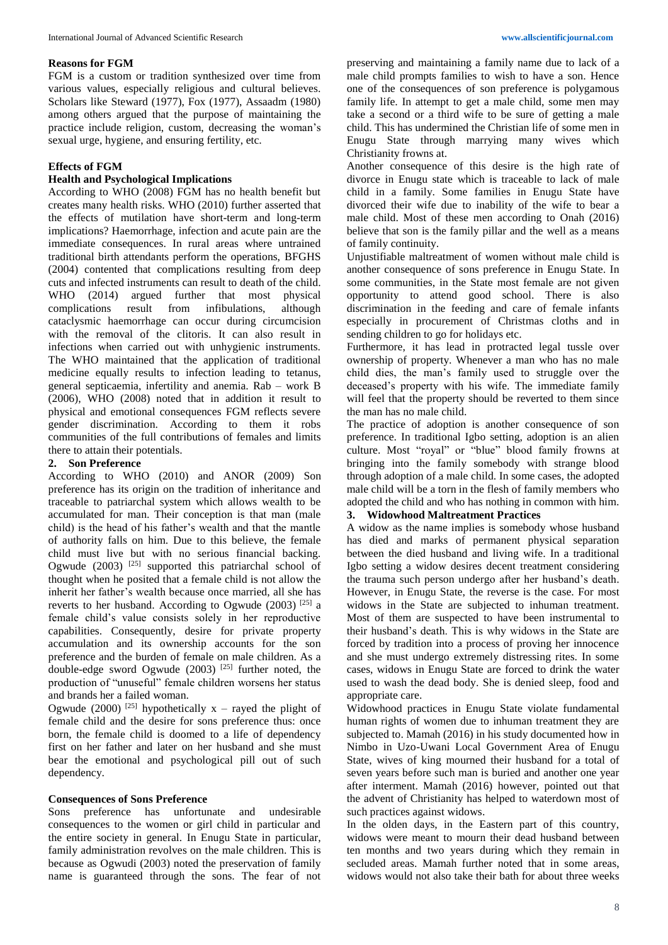#### **Reasons for FGM**

FGM is a custom or tradition synthesized over time from various values, especially religious and cultural believes. Scholars like Steward (1977), Fox (1977), Assaadm (1980) among others argued that the purpose of maintaining the practice include religion, custom, decreasing the woman's sexual urge, hygiene, and ensuring fertility, etc.

### **Effects of FGM**

## **Health and Psychological Implications**

According to WHO (2008) FGM has no health benefit but creates many health risks. WHO (2010) further asserted that the effects of mutilation have short-term and long-term implications? Haemorrhage, infection and acute pain are the immediate consequences. In rural areas where untrained traditional birth attendants perform the operations, BFGHS (2004) contented that complications resulting from deep cuts and infected instruments can result to death of the child. WHO (2014) argued further that most physical complications result from infibulations, although cataclysmic haemorrhage can occur during circumcision with the removal of the clitoris. It can also result in infections when carried out with unhygienic instruments. The WHO maintained that the application of traditional medicine equally results to infection leading to tetanus, general septicaemia, infertility and anemia. Rab – work B (2006), WHO (2008) noted that in addition it result to physical and emotional consequences FGM reflects severe gender discrimination. According to them it robs communities of the full contributions of females and limits there to attain their potentials.

#### **2. Son Preference**

According to WHO (2010) and ANOR (2009) Son preference has its origin on the tradition of inheritance and traceable to patriarchal system which allows wealth to be accumulated for man. Their conception is that man (male child) is the head of his father's wealth and that the mantle of authority falls on him. Due to this believe, the female child must live but with no serious financial backing. Ogwude  $(2003)$ <sup>[25]</sup> supported this patriarchal school of thought when he posited that a female child is not allow the inherit her father's wealth because once married, all she has reverts to her husband. According to Ogwude (2003)<sup>[25]</sup> a female child's value consists solely in her reproductive capabilities. Consequently, desire for private property accumulation and its ownership accounts for the son preference and the burden of female on male children. As a double-edge sword Ogwude  $(2003)$ <sup>[25]</sup> further noted, the production of "unuseful" female children worsens her status and brands her a failed woman.

Ogwude (2000) <sup>[25]</sup> hypothetically  $x -$  rayed the plight of female child and the desire for sons preference thus: once born, the female child is doomed to a life of dependency first on her father and later on her husband and she must bear the emotional and psychological pill out of such dependency.

#### **Consequences of Sons Preference**

Sons preference has unfortunate and undesirable consequences to the women or girl child in particular and the entire society in general. In Enugu State in particular, family administration revolves on the male children. This is because as Ogwudi (2003) noted the preservation of family name is guaranteed through the sons. The fear of not

preserving and maintaining a family name due to lack of a male child prompts families to wish to have a son. Hence one of the consequences of son preference is polygamous family life. In attempt to get a male child, some men may take a second or a third wife to be sure of getting a male child. This has undermined the Christian life of some men in Enugu State through marrying many wives which Christianity frowns at.

Another consequence of this desire is the high rate of divorce in Enugu state which is traceable to lack of male child in a family. Some families in Enugu State have divorced their wife due to inability of the wife to bear a male child. Most of these men according to Onah (2016) believe that son is the family pillar and the well as a means of family continuity.

Unjustifiable maltreatment of women without male child is another consequence of sons preference in Enugu State. In some communities, in the State most female are not given opportunity to attend good school. There is also discrimination in the feeding and care of female infants especially in procurement of Christmas cloths and in sending children to go for holidays etc.

Furthermore, it has lead in protracted legal tussle over ownership of property. Whenever a man who has no male child dies, the man's family used to struggle over the deceased's property with his wife. The immediate family will feel that the property should be reverted to them since the man has no male child.

The practice of adoption is another consequence of son preference. In traditional Igbo setting, adoption is an alien culture. Most "royal" or "blue" blood family frowns at bringing into the family somebody with strange blood through adoption of a male child. In some cases, the adopted male child will be a torn in the flesh of family members who adopted the child and who has nothing in common with him.

# **3. Widowhood Maltreatment Practices**

A widow as the name implies is somebody whose husband has died and marks of permanent physical separation between the died husband and living wife. In a traditional Igbo setting a widow desires decent treatment considering the trauma such person undergo after her husband's death. However, in Enugu State, the reverse is the case. For most widows in the State are subjected to inhuman treatment. Most of them are suspected to have been instrumental to their husband's death. This is why widows in the State are forced by tradition into a process of proving her innocence and she must undergo extremely distressing rites. In some cases, widows in Enugu State are forced to drink the water used to wash the dead body. She is denied sleep, food and appropriate care.

Widowhood practices in Enugu State violate fundamental human rights of women due to inhuman treatment they are subjected to. Mamah (2016) in his study documented how in Nimbo in Uzo-Uwani Local Government Area of Enugu State, wives of king mourned their husband for a total of seven years before such man is buried and another one year after interment. Mamah (2016) however, pointed out that the advent of Christianity has helped to waterdown most of such practices against widows.

In the olden days, in the Eastern part of this country, widows were meant to mourn their dead husband between ten months and two years during which they remain in secluded areas. Mamah further noted that in some areas, widows would not also take their bath for about three weeks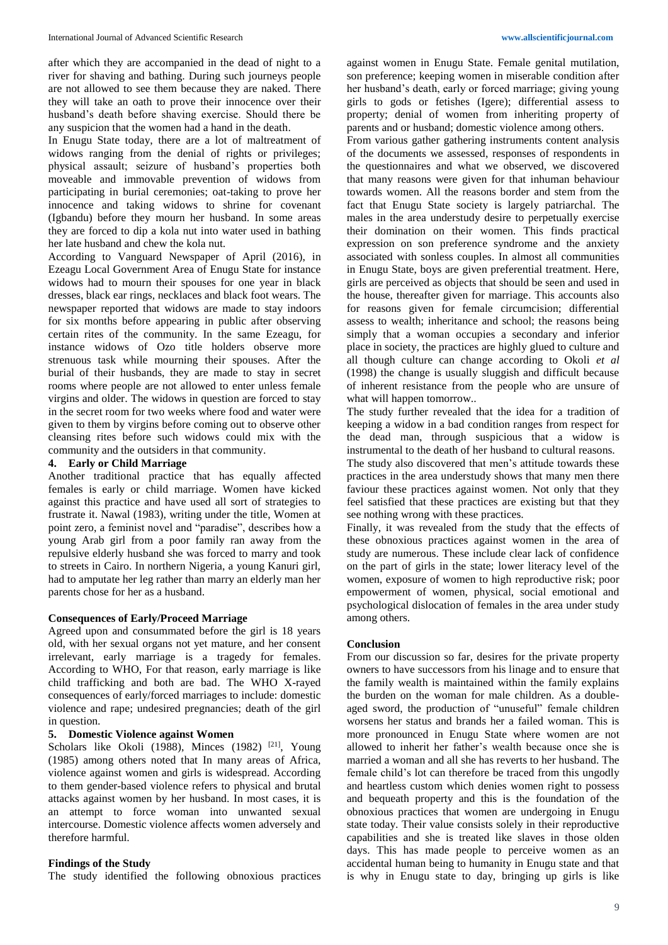after which they are accompanied in the dead of night to a river for shaving and bathing. During such journeys people are not allowed to see them because they are naked. There they will take an oath to prove their innocence over their husband's death before shaving exercise. Should there be any suspicion that the women had a hand in the death.

In Enugu State today, there are a lot of maltreatment of widows ranging from the denial of rights or privileges; physical assault; seizure of husband's properties both moveable and immovable prevention of widows from participating in burial ceremonies; oat-taking to prove her innocence and taking widows to shrine for covenant (Igbandu) before they mourn her husband. In some areas they are forced to dip a kola nut into water used in bathing her late husband and chew the kola nut.

According to Vanguard Newspaper of April (2016), in Ezeagu Local Government Area of Enugu State for instance widows had to mourn their spouses for one year in black dresses, black ear rings, necklaces and black foot wears. The newspaper reported that widows are made to stay indoors for six months before appearing in public after observing certain rites of the community. In the same Ezeagu, for instance widows of Ozo title holders observe more strenuous task while mourning their spouses. After the burial of their husbands, they are made to stay in secret rooms where people are not allowed to enter unless female virgins and older. The widows in question are forced to stay in the secret room for two weeks where food and water were given to them by virgins before coming out to observe other cleansing rites before such widows could mix with the community and the outsiders in that community.

### **4. Early or Child Marriage**

Another traditional practice that has equally affected females is early or child marriage. Women have kicked against this practice and have used all sort of strategies to frustrate it. Nawal (1983), writing under the title, Women at point zero, a feminist novel and "paradise", describes how a young Arab girl from a poor family ran away from the repulsive elderly husband she was forced to marry and took to streets in Cairo. In northern Nigeria, a young Kanuri girl, had to amputate her leg rather than marry an elderly man her parents chose for her as a husband.

# **Consequences of Early/Proceed Marriage**

Agreed upon and consummated before the girl is 18 years old, with her sexual organs not yet mature, and her consent irrelevant, early marriage is a tragedy for females. According to WHO, For that reason, early marriage is like child trafficking and both are bad. The WHO X-rayed consequences of early/forced marriages to include: domestic violence and rape; undesired pregnancies; death of the girl in question.

# **5. Domestic Violence against Women**

Scholars like Okoli (1988), Minces (1982)<sup>[21]</sup>, Young (1985) among others noted that In many areas of Africa, violence against women and girls is widespread. According to them gender-based violence refers to physical and brutal attacks against women by her husband. In most cases, it is an attempt to force woman into unwanted sexual intercourse. Domestic violence affects women adversely and therefore harmful.

## **Findings of the Study**

The study identified the following obnoxious practices

against women in Enugu State. Female genital mutilation, son preference; keeping women in miserable condition after her husband's death, early or forced marriage; giving young girls to gods or fetishes (Igere); differential assess to property; denial of women from inheriting property of parents and or husband; domestic violence among others.

From various gather gathering instruments content analysis of the documents we assessed, responses of respondents in the questionnaires and what we observed, we discovered that many reasons were given for that inhuman behaviour towards women. All the reasons border and stem from the fact that Enugu State society is largely patriarchal. The males in the area understudy desire to perpetually exercise their domination on their women. This finds practical expression on son preference syndrome and the anxiety associated with sonless couples. In almost all communities in Enugu State, boys are given preferential treatment. Here, girls are perceived as objects that should be seen and used in the house, thereafter given for marriage. This accounts also for reasons given for female circumcision; differential assess to wealth; inheritance and school; the reasons being simply that a woman occupies a secondary and inferior place in society, the practices are highly glued to culture and all though culture can change according to Okoli *et al* (1998) the change is usually sluggish and difficult because of inherent resistance from the people who are unsure of what will happen tomorrow..

The study further revealed that the idea for a tradition of keeping a widow in a bad condition ranges from respect for the dead man, through suspicious that a widow is instrumental to the death of her husband to cultural reasons. The study also discovered that men's attitude towards these practices in the area understudy shows that many men there faviour these practices against women. Not only that they feel satisfied that these practices are existing but that they see nothing wrong with these practices.

Finally, it was revealed from the study that the effects of these obnoxious practices against women in the area of study are numerous. These include clear lack of confidence on the part of girls in the state; lower literacy level of the women, exposure of women to high reproductive risk; poor empowerment of women, physical, social emotional and psychological dislocation of females in the area under study among others.

### **Conclusion**

From our discussion so far, desires for the private property owners to have successors from his linage and to ensure that the family wealth is maintained within the family explains the burden on the woman for male children. As a doubleaged sword, the production of "unuseful" female children worsens her status and brands her a failed woman. This is more pronounced in Enugu State where women are not allowed to inherit her father's wealth because once she is married a woman and all she has reverts to her husband. The female child's lot can therefore be traced from this ungodly and heartless custom which denies women right to possess and bequeath property and this is the foundation of the obnoxious practices that women are undergoing in Enugu state today. Their value consists solely in their reproductive capabilities and she is treated like slaves in those olden days. This has made people to perceive women as an accidental human being to humanity in Enugu state and that is why in Enugu state to day, bringing up girls is like